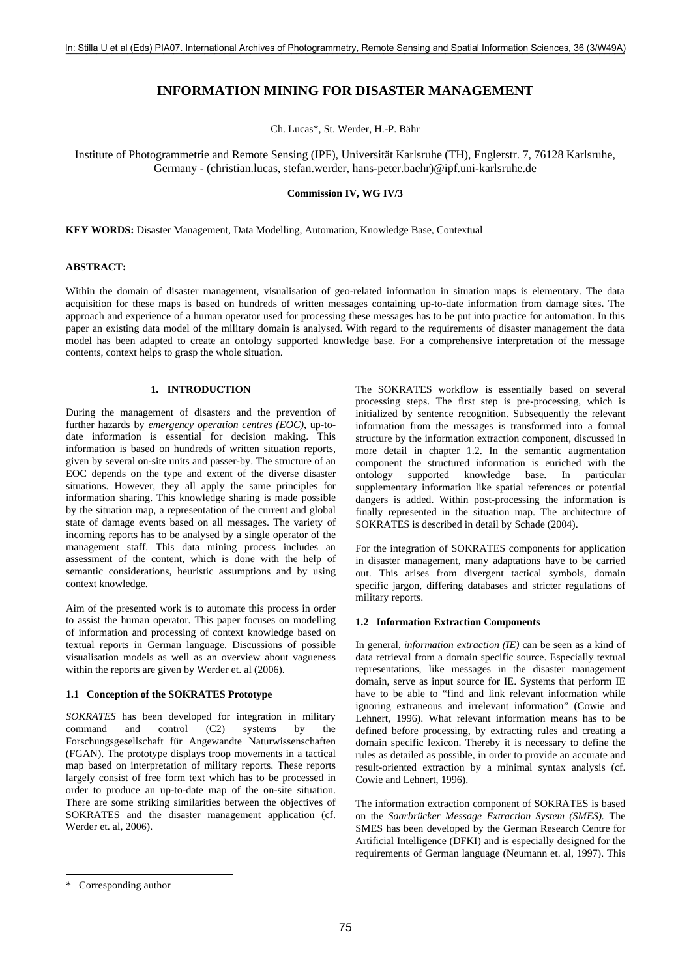# **INFORMATION MINING FOR DISASTER MANAGEMENT**

Ch. Lucas\*, St. Werder, H.-P. Bähr

Institute of Photogrammetrie and Remote Sensing (IPF), Universität Karlsruhe (TH), Englerstr. 7, 76128 Karlsruhe, Germany - (christian.lucas, stefan.werder, hans-peter.baehr)@ipf.uni-karlsruhe.de

#### **Commission IV, WG IV/3**

**KEY WORDS:** Disaster Management, Data Modelling, Automation, Knowledge Base, Contextual

## **ABSTRACT:**

Within the domain of disaster management, visualisation of geo-related information in situation maps is elementary. The data acquisition for these maps is based on hundreds of written messages containing up-to-date information from damage sites. The approach and experience of a human operator used for processing these messages has to be put into practice for automation. In this paper an existing data model of the military domain is analysed. With regard to the requirements of disaster management the data model has been adapted to create an ontology supported knowledge base. For a comprehensive interpretation of the message contents, context helps to grasp the whole situation.

## **1. INTRODUCTION**

During the management of disasters and the prevention of further hazards by *emergency operation centres (EOC)*, up-todate information is essential for decision making. This information is based on hundreds of written situation reports, given by several on-site units and passer-by. The structure of an EOC depends on the type and extent of the diverse disaster situations. However, they all apply the same principles for information sharing. This knowledge sharing is made possible by the situation map, a representation of the current and global state of damage events based on all messages. The variety of incoming reports has to be analysed by a single operator of the management staff. This data mining process includes an assessment of the content, which is done with the help of semantic considerations, heuristic assumptions and by using context knowledge.

Aim of the presented work is to automate this process in order to assist the human operator. This paper focuses on modelling of information and processing of context knowledge based on textual reports in German language. Discussions of possible visualisation models as well as an overview about vagueness within the reports are given by Werder et. al (2006).

#### **1.1 Conception of the SOKRATES Prototype**

*SOKRATES* has been developed for integration in military command and control (C2) systems by the Forschungsgesellschaft für Angewandte Naturwissenschaften (FGAN). The prototype displays troop movements in a tactical map based on interpretation of military reports. These reports largely consist of free form text which has to be processed in order to produce an up-to-date map of the on-site situation. There are some striking similarities between the objectives of SOKRATES and the disaster management application (cf. Werder et. al, 2006).

The SOKRATES workflow is essentially based on several processing steps. The first step is pre-processing, which is initialized by sentence recognition. Subsequently the relevant information from the messages is transformed into a formal structure by the information extraction component, discussed in more detail in chapter 1.2. In the semantic augmentation component the structured information is enriched with the ontology supported knowledge base. In particular supplementary information like spatial references or potential dangers is added. Within post-processing the information is finally represented in the situation map. The architecture of SOKRATES is described in detail by Schade (2004).

For the integration of SOKRATES components for application in disaster management, many adaptations have to be carried out. This arises from divergent tactical symbols, domain specific jargon, differing databases and stricter regulations of military reports.

#### **1.2 Information Extraction Components**

In general, *information extraction (IE)* can be seen as a kind of data retrieval from a domain specific source. Especially textual representations, like messages in the disaster management domain, serve as input source for IE. Systems that perform IE have to be able to "find and link relevant information while ignoring extraneous and irrelevant information" (Cowie and Lehnert, 1996). What relevant information means has to be defined before processing, by extracting rules and creating a domain specific lexicon. Thereby it is necessary to define the rules as detailed as possible, in order to provide an accurate and result-oriented extraction by a minimal syntax analysis (cf. Cowie and Lehnert, 1996).

The information extraction component of SOKRATES is based on the *Saarbrücker Message Extraction System (SMES).* The SMES has been developed by the German Research Centre for Artificial Intelligence (DFKI) and is especially designed for the requirements of German language (Neumann et. al, 1997). This

l

<sup>\*</sup> Corresponding author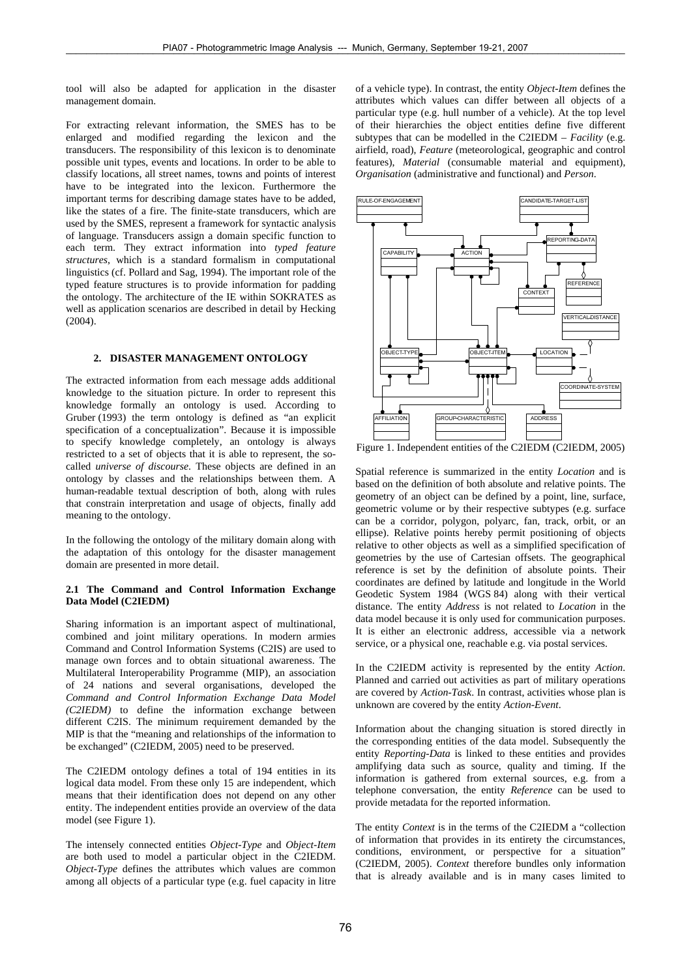tool will also be adapted for application in the disaster management domain.

For extracting relevant information, the SMES has to be enlarged and modified regarding the lexicon and the transducers. The responsibility of this lexicon is to denominate possible unit types, events and locations. In order to be able to classify locations, all street names, towns and points of interest have to be integrated into the lexicon. Furthermore the important terms for describing damage states have to be added, like the states of a fire. The finite-state transducers, which are used by the SMES, represent a framework for syntactic analysis of language. Transducers assign a domain specific function to each term. They extract information into *typed feature structures*, which is a standard formalism in computational linguistics (cf. Pollard and Sag, 1994). The important role of the typed feature structures is to provide information for padding the ontology. The architecture of the IE within SOKRATES as well as application scenarios are described in detail by Hecking  $(2004)$ .

## **2. DISASTER MANAGEMENT ONTOLOGY**

The extracted information from each message adds additional knowledge to the situation picture. In order to represent this knowledge formally an ontology is used. According to Gruber (1993) the term ontology is defined as "an explicit specification of a conceptualization". Because it is impossible to specify knowledge completely, an ontology is always restricted to a set of objects that it is able to represent, the socalled *universe of discourse*. These objects are defined in an ontology by classes and the relationships between them. A human-readable textual description of both, along with rules that constrain interpretation and usage of objects, finally add meaning to the ontology.

In the following the ontology of the military domain along with the adaptation of this ontology for the disaster management domain are presented in more detail.

## **2.1 The Command and Control Information Exchange Data Model (C2IEDM)**

Sharing information is an important aspect of multinational, combined and joint military operations. In modern armies Command and Control Information Systems (C2IS) are used to manage own forces and to obtain situational awareness. The Multilateral Interoperability Programme (MIP), an association of 24 nations and several organisations, developed the *Command and Control Information Exchange Data Model (C2IEDM)* to define the information exchange between different C2IS. The minimum requirement demanded by the MIP is that the "meaning and relationships of the information to be exchanged" (C2IEDM, 2005) need to be preserved.

The C2IEDM ontology defines a total of 194 entities in its logical data model. From these only 15 are independent, which means that their identification does not depend on any other entity. The independent entities provide an overview of the data model (see Figure 1).

The intensely connected entities *Object-Type* and *Object-Item* are both used to model a particular object in the C2IEDM. *Object-Type* defines the attributes which values are common among all objects of a particular type (e.g. fuel capacity in litre of a vehicle type). In contrast, the entity *Object-Item* defines the attributes which values can differ between all objects of a particular type (e.g. hull number of a vehicle). At the top level of their hierarchies the object entities define five different subtypes that can be modelled in the C2IEDM – *Facility* (e.g. airfield, road), *Feature* (meteorological, geographic and control features), *Material* (consumable material and equipment), *Organisation* (administrative and functional) and *Person*.



Figure 1. Independent entities of the C2IEDM (C2IEDM, 2005)

Spatial reference is summarized in the entity *Location* and is based on the definition of both absolute and relative points. The geometry of an object can be defined by a point, line, surface, geometric volume or by their respective subtypes (e.g. surface can be a corridor, polygon, polyarc, fan, track, orbit, or an ellipse). Relative points hereby permit positioning of objects relative to other objects as well as a simplified specification of geometries by the use of Cartesian offsets. The geographical reference is set by the definition of absolute points. Their coordinates are defined by latitude and longitude in the World Geodetic System 1984 (WGS 84) along with their vertical distance. The entity *Address* is not related to *Location* in the data model because it is only used for communication purposes. It is either an electronic address, accessible via a network service, or a physical one, reachable e.g. via postal services.

In the C2IEDM activity is represented by the entity *Action*. Planned and carried out activities as part of military operations are covered by *Action-Task*. In contrast, activities whose plan is unknown are covered by the entity *Action-Event*.

Information about the changing situation is stored directly in the corresponding entities of the data model. Subsequently the entity *Reporting-Data* is linked to these entities and provides amplifying data such as source, quality and timing. If the information is gathered from external sources, e.g. from a telephone conversation, the entity *Reference* can be used to provide metadata for the reported information.

The entity *Context* is in the terms of the C2IEDM a "collection of information that provides in its entirety the circumstances, conditions, environment, or perspective for a situation" (C2IEDM, 2005). *Context* therefore bundles only information that is already available and is in many cases limited to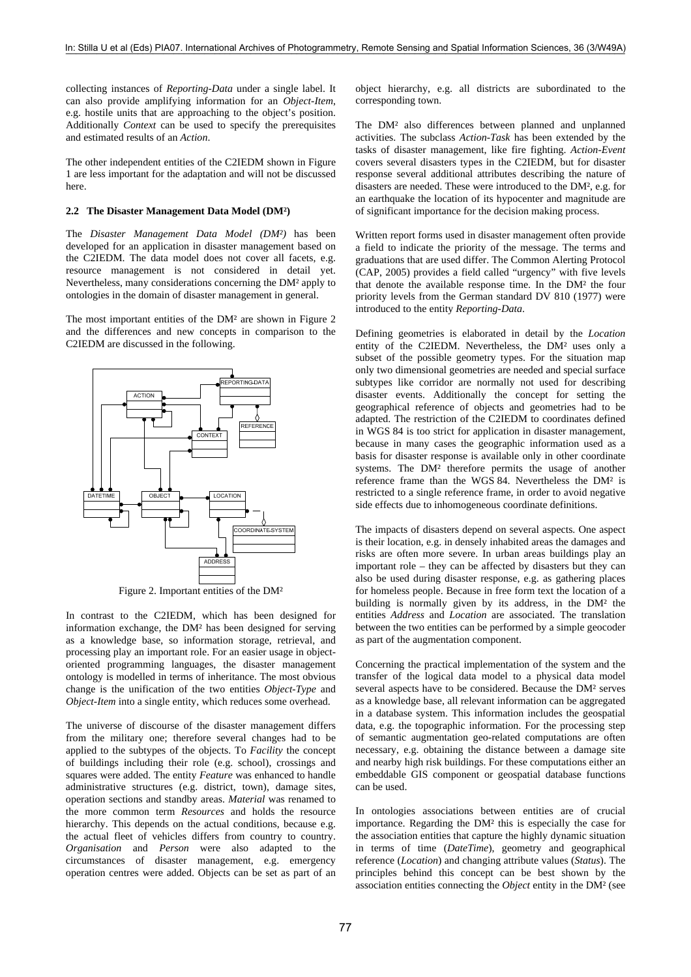collecting instances of *Reporting-Data* under a single label. It can also provide amplifying information for an *Object-Item*, e.g. hostile units that are approaching to the object's position. Additionally *Context* can be used to specify the prerequisites and estimated results of an *Action*.

The other independent entities of the C2IEDM shown in Figure 1 are less important for the adaptation and will not be discussed here.

#### **2.2 The Disaster Management Data Model (DM²)**

The *Disaster Management Data Model (DM²)* has been developed for an application in disaster management based on the C2IEDM. The data model does not cover all facets, e.g. resource management is not considered in detail yet. Nevertheless, many considerations concerning the DM² apply to ontologies in the domain of disaster management in general.

The most important entities of the DM² are shown in Figure 2 and the differences and new concepts in comparison to the C2IEDM are discussed in the following.



Figure 2. Important entities of the DM²

In contrast to the C2IEDM, which has been designed for information exchange, the DM² has been designed for serving as a knowledge base, so information storage, retrieval, and processing play an important role. For an easier usage in objectoriented programming languages, the disaster management ontology is modelled in terms of inheritance. The most obvious change is the unification of the two entities *Object-Type* and *Object-Item* into a single entity, which reduces some overhead.

The universe of discourse of the disaster management differs from the military one; therefore several changes had to be applied to the subtypes of the objects. To *Facility* the concept of buildings including their role (e.g. school), crossings and squares were added. The entity *Feature* was enhanced to handle administrative structures (e.g. district, town), damage sites, operation sections and standby areas. *Material* was renamed to the more common term *Resources* and holds the resource hierarchy. This depends on the actual conditions, because e.g. the actual fleet of vehicles differs from country to country. *Organisation* and *Person* were also adapted to the circumstances of disaster management, e.g. emergency operation centres were added. Objects can be set as part of an

object hierarchy, e.g. all districts are subordinated to the corresponding town.

The DM² also differences between planned and unplanned activities. The subclass *Action-Task* has been extended by the tasks of disaster management, like fire fighting. *Action-Event* covers several disasters types in the C2IEDM, but for disaster response several additional attributes describing the nature of disasters are needed. These were introduced to the DM², e.g. for an earthquake the location of its hypocenter and magnitude are of significant importance for the decision making process.

Written report forms used in disaster management often provide a field to indicate the priority of the message. The terms and graduations that are used differ. The Common Alerting Protocol (CAP, 2005) provides a field called "urgency" with five levels that denote the available response time. In the DM² the four priority levels from the German standard DV 810 (1977) were introduced to the entity *Reporting-Data*.

Defining geometries is elaborated in detail by the *Location* entity of the C2IEDM. Nevertheless, the DM² uses only a subset of the possible geometry types. For the situation map only two dimensional geometries are needed and special surface subtypes like corridor are normally not used for describing disaster events. Additionally the concept for setting the geographical reference of objects and geometries had to be adapted. The restriction of the C2IEDM to coordinates defined in WGS 84 is too strict for application in disaster management, because in many cases the geographic information used as a basis for disaster response is available only in other coordinate systems. The DM² therefore permits the usage of another reference frame than the WGS 84. Nevertheless the DM² is restricted to a single reference frame, in order to avoid negative side effects due to inhomogeneous coordinate definitions.

The impacts of disasters depend on several aspects. One aspect is their location, e.g. in densely inhabited areas the damages and risks are often more severe. In urban areas buildings play an important role – they can be affected by disasters but they can also be used during disaster response, e.g. as gathering places for homeless people. Because in free form text the location of a building is normally given by its address, in the DM² the entities *Address* and *Location* are associated. The translation between the two entities can be performed by a simple geocoder as part of the augmentation component.

Concerning the practical implementation of the system and the transfer of the logical data model to a physical data model several aspects have to be considered. Because the DM² serves as a knowledge base, all relevant information can be aggregated in a database system. This information includes the geospatial data, e.g. the topographic information. For the processing step of semantic augmentation geo-related computations are often necessary, e.g. obtaining the distance between a damage site and nearby high risk buildings. For these computations either an embeddable GIS component or geospatial database functions can be used.

In ontologies associations between entities are of crucial importance. Regarding the DM² this is especially the case for the association entities that capture the highly dynamic situation in terms of time (*DateTime*), geometry and geographical reference (*Location*) and changing attribute values (*Status*). The principles behind this concept can be best shown by the association entities connecting the *Object* entity in the DM² (see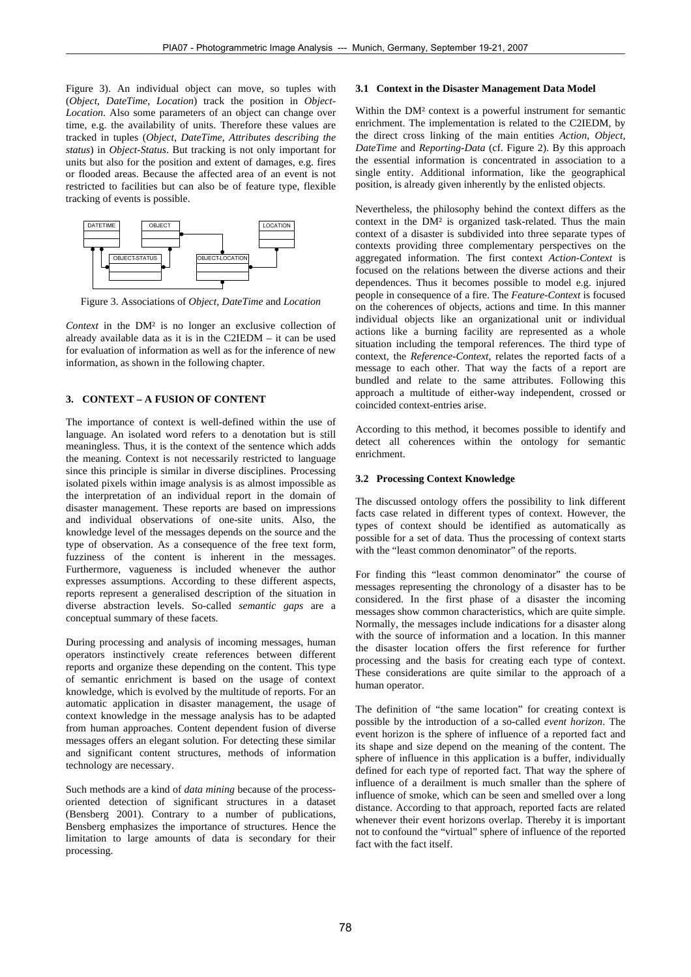Figure 3). An individual object can move, so tuples with (*Object*, *DateTime*, *Location*) track the position in *Object-Location*. Also some parameters of an object can change over time, e.g. the availability of units. Therefore these values are tracked in tuples (*Object*, *DateTime*, *Attributes describing the status*) in *Object-Status*. But tracking is not only important for units but also for the position and extent of damages, e.g. fires or flooded areas. Because the affected area of an event is not restricted to facilities but can also be of feature type, flexible tracking of events is possible.



Figure 3. Associations of *Object*, *DateTime* and *Location*

*Context* in the DM² is no longer an exclusive collection of already available data as it is in the C2IEDM – it can be used for evaluation of information as well as for the inference of new information, as shown in the following chapter.

# **3. CONTEXT – A FUSION OF CONTENT**

The importance of context is well-defined within the use of language. An isolated word refers to a denotation but is still meaningless. Thus, it is the context of the sentence which adds the meaning. Context is not necessarily restricted to language since this principle is similar in diverse disciplines. Processing isolated pixels within image analysis is as almost impossible as the interpretation of an individual report in the domain of disaster management. These reports are based on impressions and individual observations of one-site units. Also, the knowledge level of the messages depends on the source and the type of observation. As a consequence of the free text form, fuzziness of the content is inherent in the messages. Furthermore, vagueness is included whenever the author expresses assumptions. According to these different aspects, reports represent a generalised description of the situation in diverse abstraction levels. So-called *semantic gaps* are a conceptual summary of these facets.

During processing and analysis of incoming messages, human operators instinctively create references between different reports and organize these depending on the content. This type of semantic enrichment is based on the usage of context knowledge, which is evolved by the multitude of reports. For an automatic application in disaster management, the usage of context knowledge in the message analysis has to be adapted from human approaches. Content dependent fusion of diverse messages offers an elegant solution. For detecting these similar and significant content structures, methods of information technology are necessary.

Such methods are a kind of *data mining* because of the processoriented detection of significant structures in a dataset (Bensberg 2001). Contrary to a number of publications, Bensberg emphasizes the importance of structures. Hence the limitation to large amounts of data is secondary for their processing.

## **3.1 Context in the Disaster Management Data Model**

Within the DM² context is a powerful instrument for semantic enrichment. The implementation is related to the C2IEDM, by the direct cross linking of the main entities *Action*, *Object, DateTime* and *Reporting-Data* (cf. Figure 2). By this approach the essential information is concentrated in association to a single entity. Additional information, like the geographical position, is already given inherently by the enlisted objects.

Nevertheless, the philosophy behind the context differs as the context in the DM² is organized task-related. Thus the main context of a disaster is subdivided into three separate types of contexts providing three complementary perspectives on the aggregated information. The first context *Action-Context* is focused on the relations between the diverse actions and their dependences. Thus it becomes possible to model e.g. injured people in consequence of a fire. The *Feature-Context* is focused on the coherences of objects, actions and time. In this manner individual objects like an organizational unit or individual actions like a burning facility are represented as a whole situation including the temporal references. The third type of context, the *Reference-Context*, relates the reported facts of a message to each other. That way the facts of a report are bundled and relate to the same attributes. Following this approach a multitude of either-way independent, crossed or coincided context-entries arise.

According to this method, it becomes possible to identify and detect all coherences within the ontology for semantic enrichment.

# **3.2 Processing Context Knowledge**

The discussed ontology offers the possibility to link different facts case related in different types of context. However, the types of context should be identified as automatically as possible for a set of data. Thus the processing of context starts with the "least common denominator" of the reports.

For finding this "least common denominator" the course of messages representing the chronology of a disaster has to be considered. In the first phase of a disaster the incoming messages show common characteristics, which are quite simple. Normally, the messages include indications for a disaster along with the source of information and a location. In this manner the disaster location offers the first reference for further processing and the basis for creating each type of context. These considerations are quite similar to the approach of a human operator.

The definition of "the same location" for creating context is possible by the introduction of a so-called *event horizon*. The event horizon is the sphere of influence of a reported fact and its shape and size depend on the meaning of the content. The sphere of influence in this application is a buffer, individually defined for each type of reported fact. That way the sphere of influence of a derailment is much smaller than the sphere of influence of smoke, which can be seen and smelled over a long distance. According to that approach, reported facts are related whenever their event horizons overlap. Thereby it is important not to confound the "virtual" sphere of influence of the reported fact with the fact itself.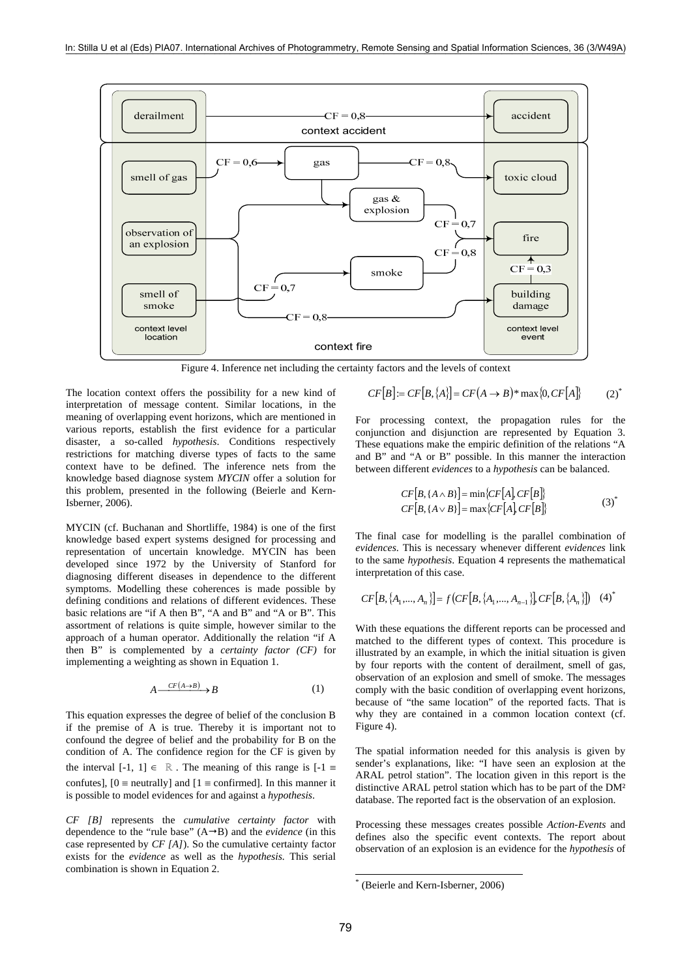

Figure 4. Inference net including the certainty factors and the levels of context

The location context offers the possibility for a new kind of interpretation of message content. Similar locations, in the meaning of overlapping event horizons, which are mentioned in various reports, establish the first evidence for a particular disaster, a so-called *hypothesis*. Conditions respectively restrictions for matching diverse types of facts to the same context have to be defined. The inference nets from the knowledge based diagnose system *MYCIN* offer a solution for this problem, presented in the following (Beierle and Kern-Isberner, 2006).

MYCIN (cf. Buchanan and Shortliffe, 1984) is one of the first knowledge based expert systems designed for processing and representation of uncertain knowledge. MYCIN has been developed since 1972 by the University of Stanford for diagnosing different diseases in dependence to the different symptoms. Modelling these coherences is made possible by defining conditions and relations of different evidences. These basic relations are "if A then B", "A and B" and "A or B". This assortment of relations is quite simple, however similar to the approach of a human operator. Additionally the relation "if A then B" is complemented by a *certainty factor (CF)* for implementing a weighting as shown in Equation 1.

$$
A \xrightarrow{CF(A \to B)} B \tag{1}
$$

This equation expresses the degree of belief of the conclusion B if the premise of A is true. Thereby it is important not to confound the degree of belief and the probability for B on the condition of A. The confidence region for the CF is given by the interval  $[-1, 1] \in \mathbb{R}$ . The meaning of this range is  $[-1, 1]$ confutes],  $[0 =$  neutrally] and  $[1 =$  confirmed]. In this manner it is possible to model evidences for and against a *hypothesis*.

*CF [B]* represents the *cumulative certainty factor* with dependence to the "rule base"  $(A \rightarrow B)$  and the *evidence* (in this case represented by *CF [A]*). So the cumulative certainty factor exists for the *evidence* as well as the *hypothesis.* This serial combination is shown in Equation 2.

$$
CF[B] := CF[B, \{A\}] = CF(A \rightarrow B)^* \max\{0, CF[A]\} \tag{2}^*
$$

For processing context, the propagation rules for the conjunction and disjunction are represented by Equation 3. These equations make the empiric definition of the relations "A and B" and "A or B" possible. In this manner the interaction between different *evidences* to a *hypothesis* can be balanced.

$$
CF[B, \{A \wedge B\}] = \min \{ CF[A], CF[B] \}
$$
  
\n
$$
CF[B, \{A \vee B\}] = \max \{ CF[A], CF[B] \}
$$
\n(3)

The final case for modelling is the parallel combination of *evidences*. This is necessary whenever different *evidences* link to the same *hypothesis*. Equation 4 represents the mathematical interpretation of this case.

$$
CF[B, \{A_1, ..., A_n\}] = f(CF[B, \{A_1, ..., A_{n-1}\}], CF[B, \{A_n\}])
$$
 (4)<sup>\*</sup>

With these equations the different reports can be processed and matched to the different types of context. This procedure is illustrated by an example, in which the initial situation is given by four reports with the content of derailment, smell of gas, observation of an explosion and smell of smoke. The messages comply with the basic condition of overlapping event horizons, because of "the same location" of the reported facts. That is why they are contained in a common location context (cf. Figure 4).

The spatial information needed for this analysis is given by sender's explanations, like: "I have seen an explosion at the ARAL petrol station". The location given in this report is the distinctive ARAL petrol station which has to be part of the DM² database. The reported fact is the observation of an explosion.

Processing these messages creates possible *Action-Events* and defines also the specific event contexts. The report about observation of an explosion is an evidence for the *hypothesis* of

l

<sup>\*</sup> (Beierle and Kern-Isberner, 2006)